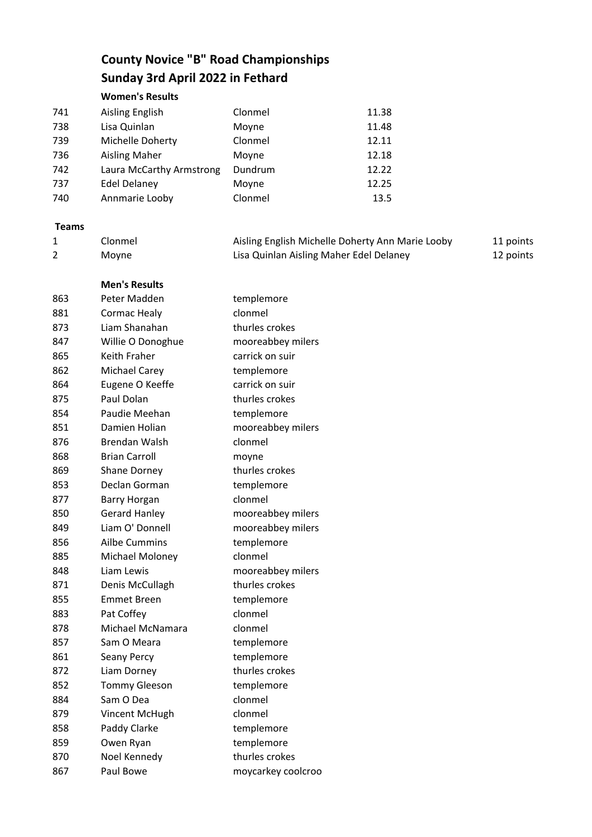## **County Novice "B" Road Championships Sunday 3rd April 2022 in Fethard**

**Women's Results**

| 741 | Aisling English          | Clonmel | 11.38 |
|-----|--------------------------|---------|-------|
| 738 | Lisa Quinlan             | Moyne   | 11.48 |
| 739 | Michelle Doherty         | Clonmel | 12.11 |
| 736 | <b>Aisling Maher</b>     | Moyne   | 12.18 |
| 742 | Laura McCarthy Armstrong | Dundrum | 12.22 |
| 737 | <b>Edel Delaney</b>      | Moyne   | 12.25 |
| 740 | Annmarie Looby           | Clonmel | 13.5  |

## **Teams**

| Clonmel | Aisling English Michelle Doherty Ann Marie Looby | 11 points |
|---------|--------------------------------------------------|-----------|
| Moyne   | Lisa Quinlan Aisling Maher Edel Delaney          | 12 points |

| <b>Men's Results</b> |
|----------------------|

| 863 | Peter Madden         | templemore         |
|-----|----------------------|--------------------|
| 881 | Cormac Healy         | clonmel            |
| 873 | Liam Shanahan        | thurles crokes     |
| 847 | Willie O Donoghue    | mooreabbey milers  |
| 865 | Keith Fraher         | carrick on suir    |
| 862 | <b>Michael Carey</b> | templemore         |
| 864 | Eugene O Keeffe      | carrick on suir    |
| 875 | Paul Dolan           | thurles crokes     |
| 854 | Paudie Meehan        | templemore         |
| 851 | Damien Holian        | mooreabbey milers  |
| 876 | <b>Brendan Walsh</b> | clonmel            |
| 868 | <b>Brian Carroll</b> | moyne              |
| 869 | Shane Dorney         | thurles crokes     |
| 853 | Declan Gorman        | templemore         |
| 877 | Barry Horgan         | clonmel            |
| 850 | <b>Gerard Hanley</b> | mooreabbey milers  |
| 849 | Liam O' Donnell      | mooreabbey milers  |
| 856 | <b>Ailbe Cummins</b> | templemore         |
| 885 | Michael Moloney      | clonmel            |
| 848 | Liam Lewis           | mooreabbey milers  |
| 871 | Denis McCullagh      | thurles crokes     |
| 855 | <b>Emmet Breen</b>   | templemore         |
| 883 | Pat Coffey           | clonmel            |
| 878 | Michael McNamara     | clonmel            |
| 857 | Sam O Meara          | templemore         |
| 861 | Seany Percy          | templemore         |
| 872 | Liam Dorney          | thurles crokes     |
| 852 | <b>Tommy Gleeson</b> | templemore         |
| 884 | Sam O Dea            | clonmel            |
| 879 | Vincent McHugh       | clonmel            |
| 858 | Paddy Clarke         | templemore         |
| 859 | Owen Ryan            | templemore         |
| 870 | Noel Kennedy         | thurles crokes     |
| 867 | Paul Bowe            | moycarkey coolcroo |